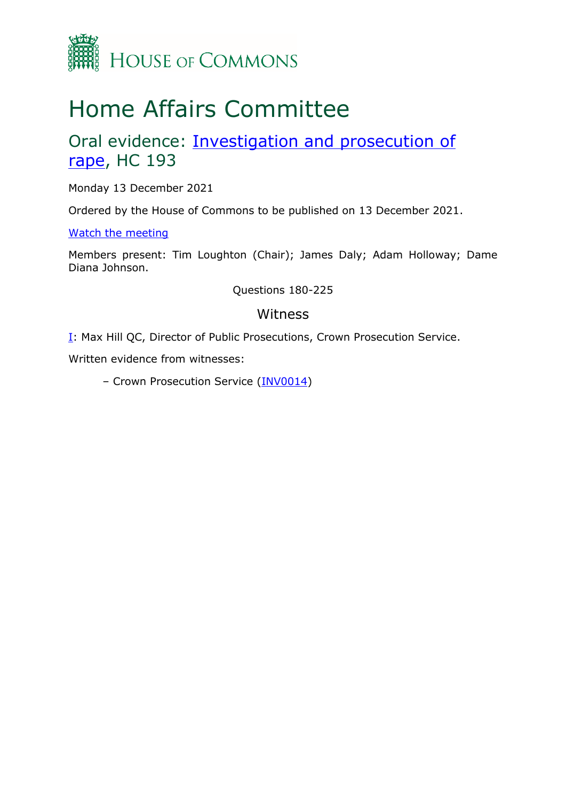

# Home Affairs Committee

# Oral evidence: **Investigation and prosecution of** [rape,](https://committees.parliament.uk/work/1160/investigation-and-prosecution-of-rape/publications/oral-evidence/) HC 193

Monday 13 December 2021

Ordered by the House of Commons to be published on 13 December 2021.

[Watch the meeting](https://parliamentlive.tv/event/index/16baf346-b190-4901-91fe-cc5e0bc74354)

Members present: Tim Loughton (Chair); James Daly; Adam Holloway; Dame Diana Johnson.

Questions 180-225

### Witness

**[I:](#page-1-0) Max Hill QC, Director of Public Prosecutions, Crown Prosecution Service.** 

Written evidence from witnesses:

– Crown Prosecution Service [\(INV0014\)](https://committees.parliament.uk/writtenevidence/36791/pdf/)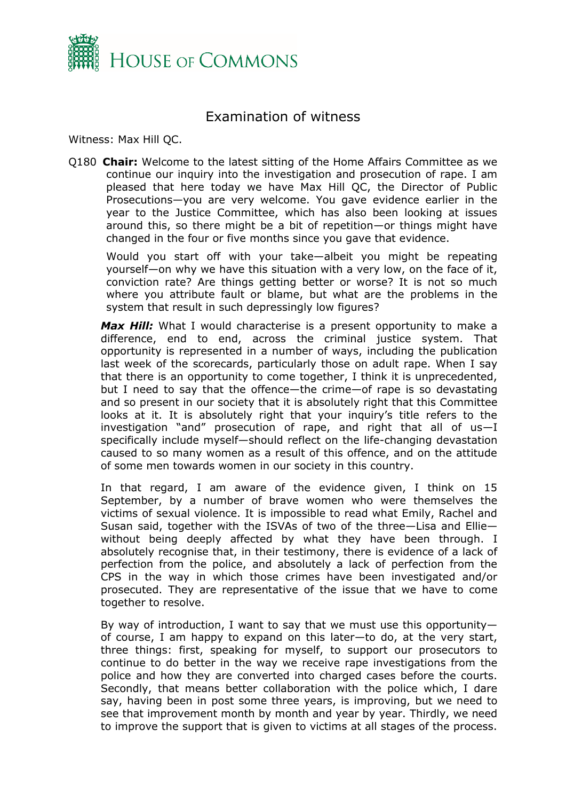

## Examination of witness

<span id="page-1-0"></span>Witness: Max Hill QC.

Q180 **Chair:** Welcome to the latest sitting of the Home Affairs Committee as we continue our inquiry into the investigation and prosecution of rape. I am pleased that here today we have Max Hill QC, the Director of Public Prosecutions—you are very welcome. You gave evidence earlier in the year to the Justice Committee, which has also been looking at issues around this, so there might be a bit of repetition—or things might have changed in the four or five months since you gave that evidence.

Would you start off with your take—albeit you might be repeating yourself—on why we have this situation with a very low, on the face of it, conviction rate? Are things getting better or worse? It is not so much where you attribute fault or blame, but what are the problems in the system that result in such depressingly low figures?

Max Hill: What I would characterise is a present opportunity to make a difference, end to end, across the criminal justice system. That opportunity is represented in a number of ways, including the publication last week of the scorecards, particularly those on adult rape. When I say that there is an opportunity to come together, I think it is unprecedented, but I need to say that the offence—the crime—of rape is so devastating and so present in our society that it is absolutely right that this Committee looks at it. It is absolutely right that your inquiry's title refers to the investigation "and" prosecution of rape, and right that all of us—I specifically include myself—should reflect on the life-changing devastation caused to so many women as a result of this offence, and on the attitude of some men towards women in our society in this country.

In that regard, I am aware of the evidence given, I think on 15 September, by a number of brave women who were themselves the victims of sexual violence. It is impossible to read what Emily, Rachel and Susan said, together with the ISVAs of two of the three—Lisa and Ellie without being deeply affected by what they have been through. I absolutely recognise that, in their testimony, there is evidence of a lack of perfection from the police, and absolutely a lack of perfection from the CPS in the way in which those crimes have been investigated and/or prosecuted. They are representative of the issue that we have to come together to resolve.

By way of introduction, I want to say that we must use this opportunity of course, I am happy to expand on this later—to do, at the very start, three things: first, speaking for myself, to support our prosecutors to continue to do better in the way we receive rape investigations from the police and how they are converted into charged cases before the courts. Secondly, that means better collaboration with the police which, I dare say, having been in post some three years, is improving, but we need to see that improvement month by month and year by year. Thirdly, we need to improve the support that is given to victims at all stages of the process.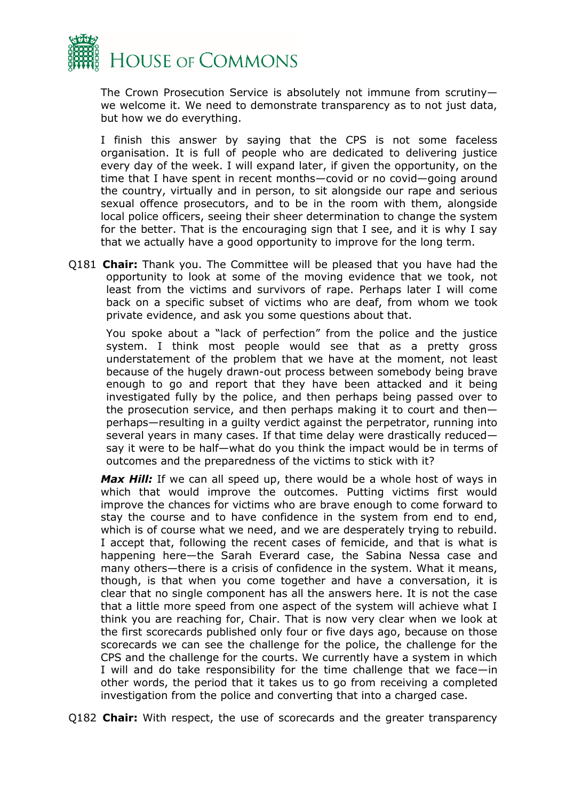

The Crown Prosecution Service is absolutely not immune from scrutiny we welcome it. We need to demonstrate transparency as to not just data, but how we do everything.

I finish this answer by saying that the CPS is not some faceless organisation. It is full of people who are dedicated to delivering justice every day of the week. I will expand later, if given the opportunity, on the time that I have spent in recent months—covid or no covid—going around the country, virtually and in person, to sit alongside our rape and serious sexual offence prosecutors, and to be in the room with them, alongside local police officers, seeing their sheer determination to change the system for the better. That is the encouraging sign that I see, and it is why I say that we actually have a good opportunity to improve for the long term.

Q181 **Chair:** Thank you. The Committee will be pleased that you have had the opportunity to look at some of the moving evidence that we took, not least from the victims and survivors of rape. Perhaps later I will come back on a specific subset of victims who are deaf, from whom we took private evidence, and ask you some questions about that.

You spoke about a "lack of perfection" from the police and the justice system. I think most people would see that as a pretty gross understatement of the problem that we have at the moment, not least because of the hugely drawn-out process between somebody being brave enough to go and report that they have been attacked and it being investigated fully by the police, and then perhaps being passed over to the prosecution service, and then perhaps making it to court and then perhaps—resulting in a guilty verdict against the perpetrator, running into several years in many cases. If that time delay were drastically reduced say it were to be half—what do you think the impact would be in terms of outcomes and the preparedness of the victims to stick with it?

Max Hill: If we can all speed up, there would be a whole host of ways in which that would improve the outcomes. Putting victims first would improve the chances for victims who are brave enough to come forward to stay the course and to have confidence in the system from end to end, which is of course what we need, and we are desperately trying to rebuild. I accept that, following the recent cases of femicide, and that is what is happening here—the Sarah Everard case, the Sabina Nessa case and many others—there is a crisis of confidence in the system. What it means, though, is that when you come together and have a conversation, it is clear that no single component has all the answers here. It is not the case that a little more speed from one aspect of the system will achieve what I think you are reaching for, Chair. That is now very clear when we look at the first scorecards published only four or five days ago, because on those scorecards we can see the challenge for the police, the challenge for the CPS and the challenge for the courts. We currently have a system in which I will and do take responsibility for the time challenge that we face—in other words, the period that it takes us to go from receiving a completed investigation from the police and converting that into a charged case.

Q182 **Chair:** With respect, the use of scorecards and the greater transparency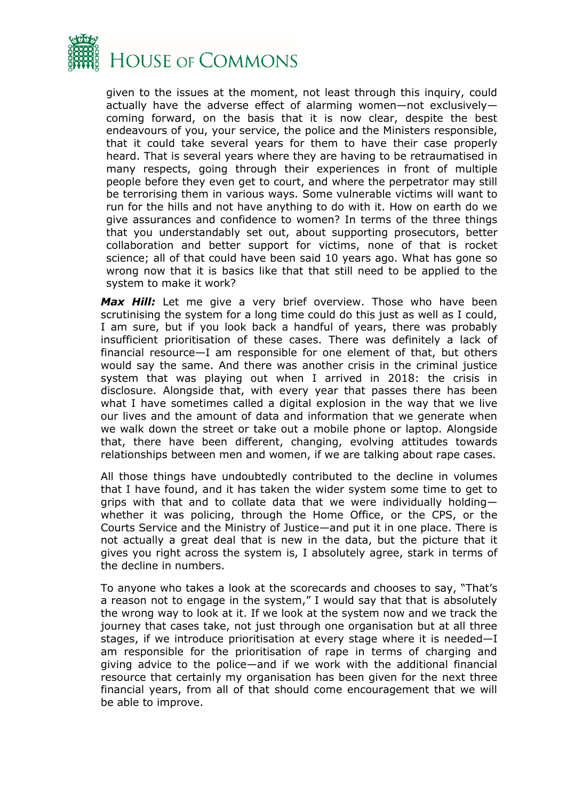

given to the issues at the moment, not least through this inquiry, could actually have the adverse effect of alarming women—not exclusively coming forward, on the basis that it is now clear, despite the best endeavours of you, your service, the police and the Ministers responsible, that it could take several years for them to have their case properly heard. That is several years where they are having to be retraumatised in many respects, going through their experiences in front of multiple people before they even get to court, and where the perpetrator may still be terrorising them in various ways. Some vulnerable victims will want to run for the hills and not have anything to do with it. How on earth do we give assurances and confidence to women? In terms of the three things that you understandably set out, about supporting prosecutors, better collaboration and better support for victims, none of that is rocket science; all of that could have been said 10 years ago. What has gone so wrong now that it is basics like that that still need to be applied to the system to make it work?

*Max Hill:* Let me give a very brief overview. Those who have been scrutinising the system for a long time could do this just as well as I could, I am sure, but if you look back a handful of years, there was probably insufficient prioritisation of these cases. There was definitely a lack of financial resource—I am responsible for one element of that, but others would say the same. And there was another crisis in the criminal justice system that was playing out when I arrived in 2018: the crisis in disclosure. Alongside that, with every year that passes there has been what I have sometimes called a digital explosion in the way that we live our lives and the amount of data and information that we generate when we walk down the street or take out a mobile phone or laptop. Alongside that, there have been different, changing, evolving attitudes towards relationships between men and women, if we are talking about rape cases.

All those things have undoubtedly contributed to the decline in volumes that I have found, and it has taken the wider system some time to get to grips with that and to collate data that we were individually holding whether it was policing, through the Home Office, or the CPS, or the Courts Service and the Ministry of Justice—and put it in one place. There is not actually a great deal that is new in the data, but the picture that it gives you right across the system is, I absolutely agree, stark in terms of the decline in numbers.

To anyone who takes a look at the scorecards and chooses to say, "That's a reason not to engage in the system," I would say that that is absolutely the wrong way to look at it. If we look at the system now and we track the journey that cases take, not just through one organisation but at all three stages, if we introduce prioritisation at every stage where it is needed—I am responsible for the prioritisation of rape in terms of charging and giving advice to the police—and if we work with the additional financial resource that certainly my organisation has been given for the next three financial years, from all of that should come encouragement that we will be able to improve.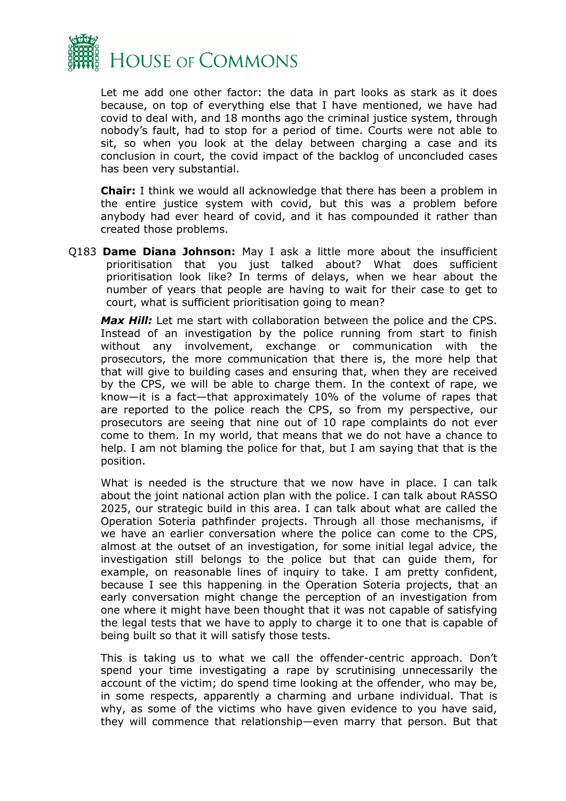

Let me add one other factor: the data in part looks as stark as it does because, on top of everything else that I have mentioned, we have had covid to deal with, and 18 months ago the criminal justice system, through nobody's fault, had to stop for a period of time. Courts were not able to sit, so when you look at the delay between charging a case and its conclusion in court, the covid impact of the backlog of unconcluded cases has been very substantial.

**Chair:** I think we would all acknowledge that there has been a problem in the entire justice system with covid, but this was a problem before anybody had ever heard of covid, and it has compounded it rather than created those problems.

Q183 **Dame Diana Johnson:** May I ask a little more about the insufficient prioritisation that you just talked about? What does sufficient prioritisation look like? In terms of delays, when we hear about the number of years that people are having to wait for their case to get to court, what is sufficient prioritisation going to mean?

**Max Hill:** Let me start with collaboration between the police and the CPS. Instead of an investigation by the police running from start to finish without any involvement, exchange or communication with the prosecutors, the more communication that there is, the more help that that will give to building cases and ensuring that, when they are received by the CPS, we will be able to charge them. In the context of rape, we know—it is a fact—that approximately 10% of the volume of rapes that are reported to the police reach the CPS, so from my perspective, our prosecutors are seeing that nine out of 10 rape complaints do not ever come to them. In my world, that means that we do not have a chance to help. I am not blaming the police for that, but I am saying that that is the position.

What is needed is the structure that we now have in place. I can talk about the joint national action plan with the police. I can talk about RASSO 2025, our strategic build in this area. I can talk about what are called the Operation Soteria pathfinder projects. Through all those mechanisms, if we have an earlier conversation where the police can come to the CPS, almost at the outset of an investigation, for some initial legal advice, the investigation still belongs to the police but that can guide them, for example, on reasonable lines of inquiry to take. I am pretty confident, because I see this happening in the Operation Soteria projects, that an early conversation might change the perception of an investigation from one where it might have been thought that it was not capable of satisfying the legal tests that we have to apply to charge it to one that is capable of being built so that it will satisfy those tests.

This is taking us to what we call the offender-centric approach. Don't spend your time investigating a rape by scrutinising unnecessarily the account of the victim; do spend time looking at the offender, who may be, in some respects, apparently a charming and urbane individual. That is why, as some of the victims who have given evidence to you have said, they will commence that relationship—even marry that person. But that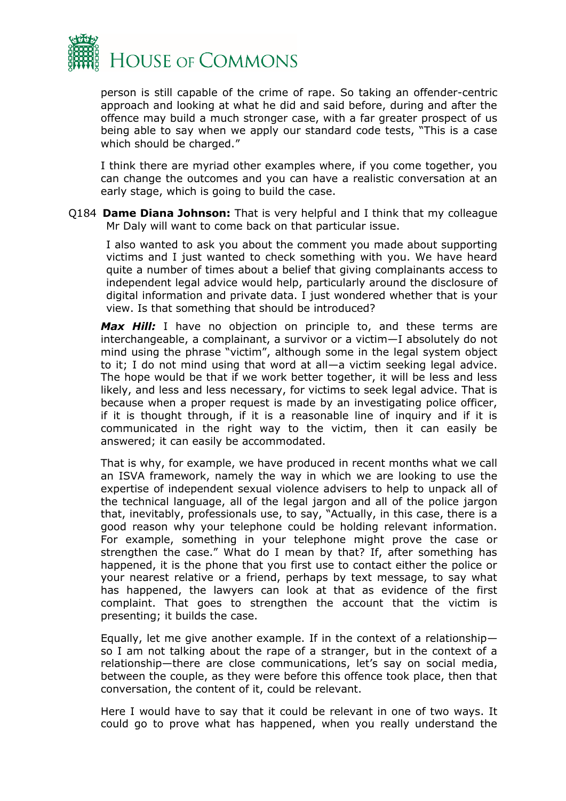

person is still capable of the crime of rape. So taking an offender-centric approach and looking at what he did and said before, during and after the offence may build a much stronger case, with a far greater prospect of us being able to say when we apply our standard code tests, "This is a case which should be charged."

I think there are myriad other examples where, if you come together, you can change the outcomes and you can have a realistic conversation at an early stage, which is going to build the case.

Q184 **Dame Diana Johnson:** That is very helpful and I think that my colleague Mr Daly will want to come back on that particular issue.

I also wanted to ask you about the comment you made about supporting victims and I just wanted to check something with you. We have heard quite a number of times about a belief that giving complainants access to independent legal advice would help, particularly around the disclosure of digital information and private data. I just wondered whether that is your view. Is that something that should be introduced?

**Max Hill:** I have no objection on principle to, and these terms are interchangeable, a complainant, a survivor or a victim—I absolutely do not mind using the phrase "victim", although some in the legal system object to it; I do not mind using that word at all—a victim seeking legal advice. The hope would be that if we work better together, it will be less and less likely, and less and less necessary, for victims to seek legal advice. That is because when a proper request is made by an investigating police officer, if it is thought through, if it is a reasonable line of inquiry and if it is communicated in the right way to the victim, then it can easily be answered; it can easily be accommodated.

That is why, for example, we have produced in recent months what we call an ISVA framework, namely the way in which we are looking to use the expertise of independent sexual violence advisers to help to unpack all of the technical language, all of the legal jargon and all of the police jargon that, inevitably, professionals use, to say, "Actually, in this case, there is a good reason why your telephone could be holding relevant information. For example, something in your telephone might prove the case or strengthen the case." What do I mean by that? If, after something has happened, it is the phone that you first use to contact either the police or your nearest relative or a friend, perhaps by text message, to say what has happened, the lawyers can look at that as evidence of the first complaint. That goes to strengthen the account that the victim is presenting; it builds the case.

Equally, let me give another example. If in the context of a relationship so I am not talking about the rape of a stranger, but in the context of a relationship—there are close communications, let's say on social media, between the couple, as they were before this offence took place, then that conversation, the content of it, could be relevant.

Here I would have to say that it could be relevant in one of two ways. It could go to prove what has happened, when you really understand the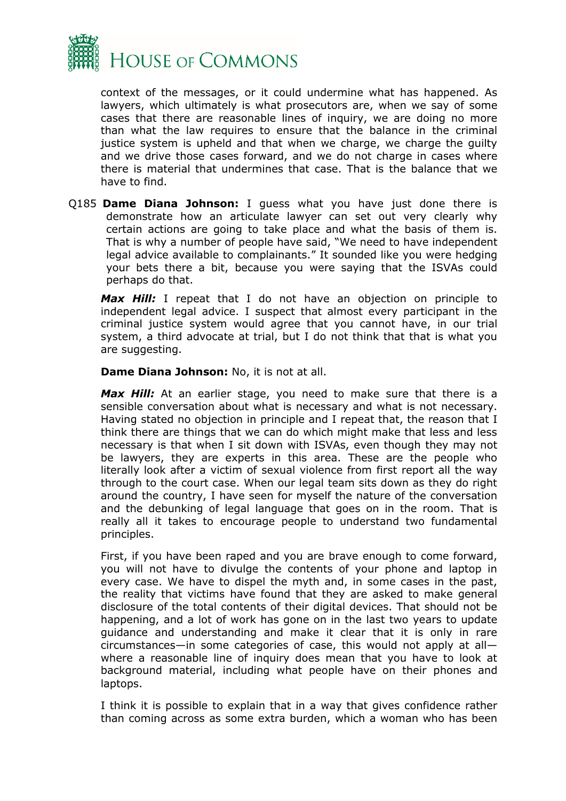

context of the messages, or it could undermine what has happened. As lawyers, which ultimately is what prosecutors are, when we say of some cases that there are reasonable lines of inquiry, we are doing no more than what the law requires to ensure that the balance in the criminal justice system is upheld and that when we charge, we charge the guilty and we drive those cases forward, and we do not charge in cases where there is material that undermines that case. That is the balance that we have to find.

Q185 **Dame Diana Johnson:** I guess what you have just done there is demonstrate how an articulate lawyer can set out very clearly why certain actions are going to take place and what the basis of them is. That is why a number of people have said, "We need to have independent legal advice available to complainants." It sounded like you were hedging your bets there a bit, because you were saying that the ISVAs could perhaps do that.

*Max Hill:* I repeat that I do not have an objection on principle to independent legal advice. I suspect that almost every participant in the criminal justice system would agree that you cannot have, in our trial system, a third advocate at trial, but I do not think that that is what you are suggesting.

**Dame Diana Johnson:** No, it is not at all.

Max Hill: At an earlier stage, you need to make sure that there is a sensible conversation about what is necessary and what is not necessary. Having stated no objection in principle and I repeat that, the reason that I think there are things that we can do which might make that less and less necessary is that when I sit down with ISVAs, even though they may not be lawyers, they are experts in this area. These are the people who literally look after a victim of sexual violence from first report all the way through to the court case. When our legal team sits down as they do right around the country, I have seen for myself the nature of the conversation and the debunking of legal language that goes on in the room. That is really all it takes to encourage people to understand two fundamental principles.

First, if you have been raped and you are brave enough to come forward, you will not have to divulge the contents of your phone and laptop in every case. We have to dispel the myth and, in some cases in the past, the reality that victims have found that they are asked to make general disclosure of the total contents of their digital devices. That should not be happening, and a lot of work has gone on in the last two years to update guidance and understanding and make it clear that it is only in rare circumstances—in some categories of case, this would not apply at all where a reasonable line of inquiry does mean that you have to look at background material, including what people have on their phones and laptops.

I think it is possible to explain that in a way that gives confidence rather than coming across as some extra burden, which a woman who has been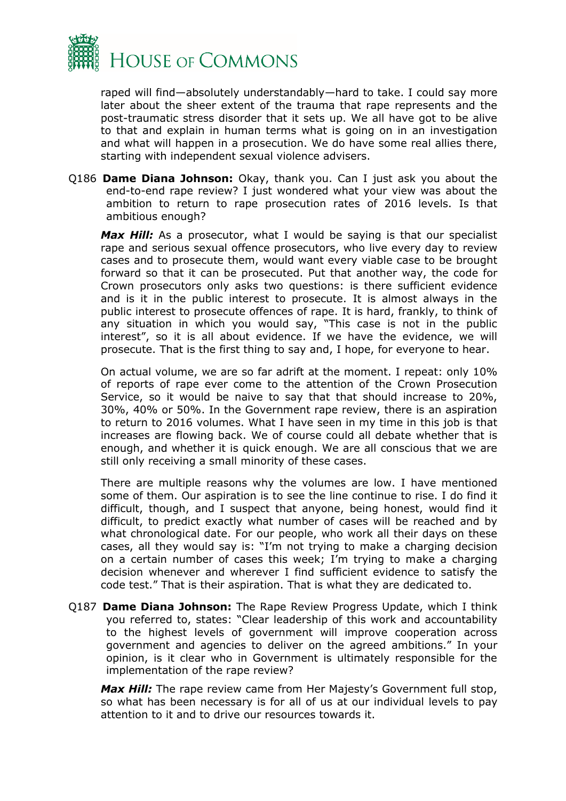

raped will find—absolutely understandably—hard to take. I could say more later about the sheer extent of the trauma that rape represents and the post-traumatic stress disorder that it sets up. We all have got to be alive to that and explain in human terms what is going on in an investigation and what will happen in a prosecution. We do have some real allies there, starting with independent sexual violence advisers.

Q186 **Dame Diana Johnson:** Okay, thank you. Can I just ask you about the end-to-end rape review? I just wondered what your view was about the ambition to return to rape prosecution rates of 2016 levels. Is that ambitious enough?

Max Hill: As a prosecutor, what I would be saying is that our specialist rape and serious sexual offence prosecutors, who live every day to review cases and to prosecute them, would want every viable case to be brought forward so that it can be prosecuted. Put that another way, the code for Crown prosecutors only asks two questions: is there sufficient evidence and is it in the public interest to prosecute. It is almost always in the public interest to prosecute offences of rape. It is hard, frankly, to think of any situation in which you would say, "This case is not in the public interest", so it is all about evidence. If we have the evidence, we will prosecute. That is the first thing to say and, I hope, for everyone to hear.

On actual volume, we are so far adrift at the moment. I repeat: only 10% of reports of rape ever come to the attention of the Crown Prosecution Service, so it would be naive to say that that should increase to 20%, 30%, 40% or 50%. In the Government rape review, there is an aspiration to return to 2016 volumes. What I have seen in my time in this job is that increases are flowing back. We of course could all debate whether that is enough, and whether it is quick enough. We are all conscious that we are still only receiving a small minority of these cases.

There are multiple reasons why the volumes are low. I have mentioned some of them. Our aspiration is to see the line continue to rise. I do find it difficult, though, and I suspect that anyone, being honest, would find it difficult, to predict exactly what number of cases will be reached and by what chronological date. For our people, who work all their days on these cases, all they would say is: "I'm not trying to make a charging decision on a certain number of cases this week; I'm trying to make a charging decision whenever and wherever I find sufficient evidence to satisfy the code test." That is their aspiration. That is what they are dedicated to.

Q187 **Dame Diana Johnson:** The Rape Review Progress Update, which I think you referred to, states: "Clear leadership of this work and accountability to the highest levels of government will improve cooperation across government and agencies to deliver on the agreed ambitions." In your opinion, is it clear who in Government is ultimately responsible for the implementation of the rape review?

*Max Hill:* The rape review came from Her Majesty's Government full stop, so what has been necessary is for all of us at our individual levels to pay attention to it and to drive our resources towards it.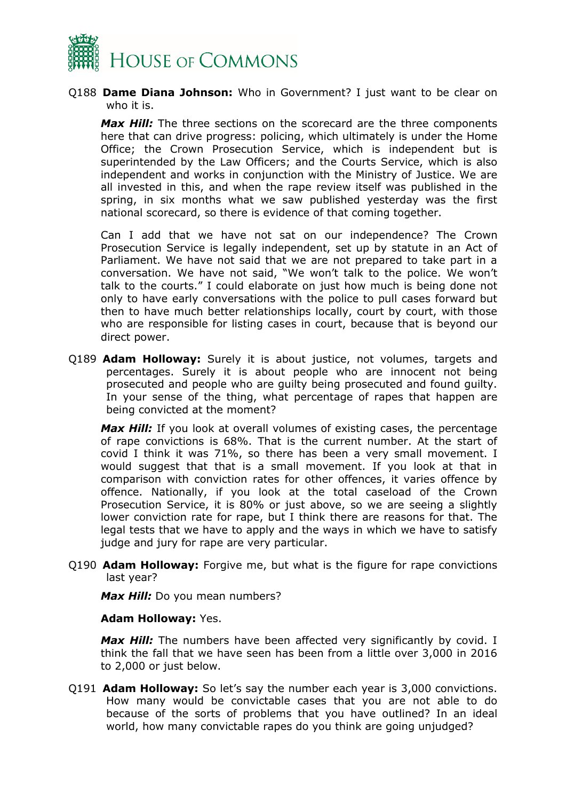

Q188 **Dame Diana Johnson:** Who in Government? I just want to be clear on who it is.

*Max Hill:* The three sections on the scorecard are the three components here that can drive progress: policing, which ultimately is under the Home Office; the Crown Prosecution Service, which is independent but is superintended by the Law Officers; and the Courts Service, which is also independent and works in conjunction with the Ministry of Justice. We are all invested in this, and when the rape review itself was published in the spring, in six months what we saw published yesterday was the first national scorecard, so there is evidence of that coming together.

Can I add that we have not sat on our independence? The Crown Prosecution Service is legally independent, set up by statute in an Act of Parliament. We have not said that we are not prepared to take part in a conversation. We have not said, "We won't talk to the police. We won't talk to the courts." I could elaborate on just how much is being done not only to have early conversations with the police to pull cases forward but then to have much better relationships locally, court by court, with those who are responsible for listing cases in court, because that is beyond our direct power.

Q189 **Adam Holloway:** Surely it is about justice, not volumes, targets and percentages. Surely it is about people who are innocent not being prosecuted and people who are guilty being prosecuted and found guilty. In your sense of the thing, what percentage of rapes that happen are being convicted at the moment?

**Max Hill:** If you look at overall volumes of existing cases, the percentage of rape convictions is 68%. That is the current number. At the start of covid I think it was 71%, so there has been a very small movement. I would suggest that that is a small movement. If you look at that in comparison with conviction rates for other offences, it varies offence by offence. Nationally, if you look at the total caseload of the Crown Prosecution Service, it is 80% or just above, so we are seeing a slightly lower conviction rate for rape, but I think there are reasons for that. The legal tests that we have to apply and the ways in which we have to satisfy judge and jury for rape are very particular.

Q190 **Adam Holloway:** Forgive me, but what is the figure for rape convictions last year?

*Max Hill:* Do you mean numbers?

#### **Adam Holloway:** Yes.

Max Hill: The numbers have been affected very significantly by covid. I think the fall that we have seen has been from a little over 3,000 in 2016 to 2,000 or just below.

Q191 **Adam Holloway:** So let's say the number each year is 3,000 convictions. How many would be convictable cases that you are not able to do because of the sorts of problems that you have outlined? In an ideal world, how many convictable rapes do you think are going unjudged?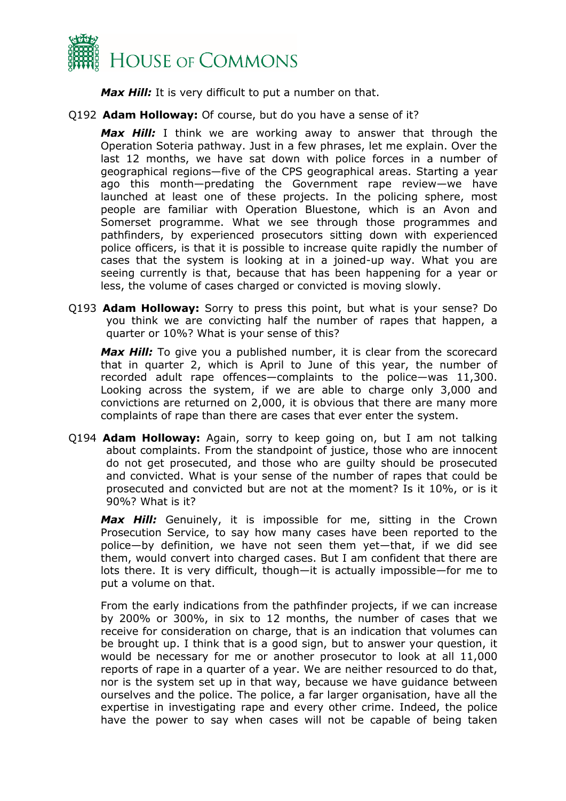

*Max Hill:* It is very difficult to put a number on that.

Q192 **Adam Holloway:** Of course, but do you have a sense of it?

*Max Hill:* I think we are working away to answer that through the Operation Soteria pathway. Just in a few phrases, let me explain. Over the last 12 months, we have sat down with police forces in a number of geographical regions—five of the CPS geographical areas. Starting a year ago this month—predating the Government rape review—we have launched at least one of these projects. In the policing sphere, most people are familiar with Operation Bluestone, which is an Avon and Somerset programme. What we see through those programmes and pathfinders, by experienced prosecutors sitting down with experienced police officers, is that it is possible to increase quite rapidly the number of cases that the system is looking at in a joined-up way. What you are seeing currently is that, because that has been happening for a year or less, the volume of cases charged or convicted is moving slowly.

Q193 **Adam Holloway:** Sorry to press this point, but what is your sense? Do you think we are convicting half the number of rapes that happen, a quarter or 10%? What is your sense of this?

*Max Hill:* To give you a published number, it is clear from the scorecard that in quarter 2, which is April to June of this year, the number of recorded adult rape offences—complaints to the police—was 11,300. Looking across the system, if we are able to charge only 3,000 and convictions are returned on 2,000, it is obvious that there are many more complaints of rape than there are cases that ever enter the system.

Q194 **Adam Holloway:** Again, sorry to keep going on, but I am not talking about complaints. From the standpoint of justice, those who are innocent do not get prosecuted, and those who are guilty should be prosecuted and convicted. What is your sense of the number of rapes that could be prosecuted and convicted but are not at the moment? Is it 10%, or is it 90%? What is it?

*Max Hill:* Genuinely, it is impossible for me, sitting in the Crown Prosecution Service, to say how many cases have been reported to the police—by definition, we have not seen them yet—that, if we did see them, would convert into charged cases. But I am confident that there are lots there. It is very difficult, though—it is actually impossible—for me to put a volume on that.

From the early indications from the pathfinder projects, if we can increase by 200% or 300%, in six to 12 months, the number of cases that we receive for consideration on charge, that is an indication that volumes can be brought up. I think that is a good sign, but to answer your question, it would be necessary for me or another prosecutor to look at all 11,000 reports of rape in a quarter of a year. We are neither resourced to do that, nor is the system set up in that way, because we have guidance between ourselves and the police. The police, a far larger organisation, have all the expertise in investigating rape and every other crime. Indeed, the police have the power to say when cases will not be capable of being taken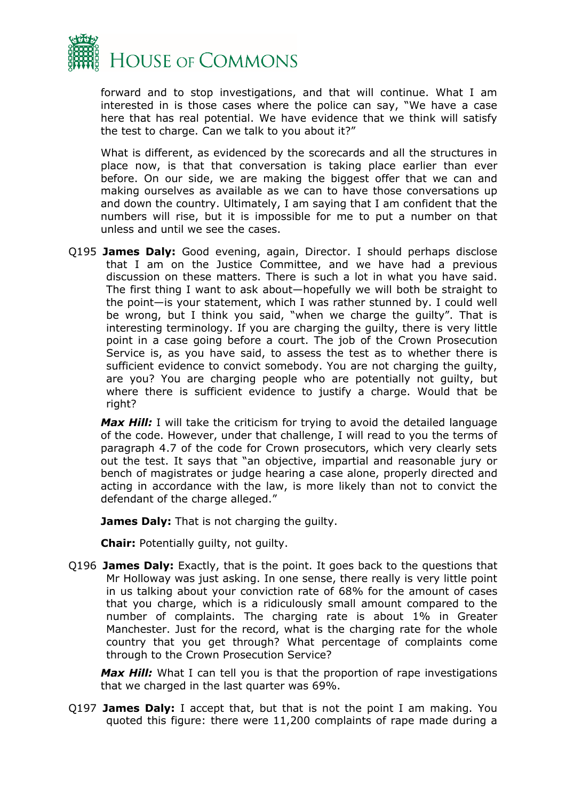

forward and to stop investigations, and that will continue. What I am interested in is those cases where the police can say, "We have a case here that has real potential. We have evidence that we think will satisfy the test to charge. Can we talk to you about it?"

What is different, as evidenced by the scorecards and all the structures in place now, is that that conversation is taking place earlier than ever before. On our side, we are making the biggest offer that we can and making ourselves as available as we can to have those conversations up and down the country. Ultimately, I am saying that I am confident that the numbers will rise, but it is impossible for me to put a number on that unless and until we see the cases.

Q195 **James Daly:** Good evening, again, Director. I should perhaps disclose that I am on the Justice Committee, and we have had a previous discussion on these matters. There is such a lot in what you have said. The first thing I want to ask about—hopefully we will both be straight to the point—is your statement, which I was rather stunned by. I could well be wrong, but I think you said, "when we charge the guilty". That is interesting terminology. If you are charging the guilty, there is very little point in a case going before a court. The job of the Crown Prosecution Service is, as you have said, to assess the test as to whether there is sufficient evidence to convict somebody. You are not charging the guilty, are you? You are charging people who are potentially not guilty, but where there is sufficient evidence to justify a charge. Would that be right?

**Max Hill:** I will take the criticism for trying to avoid the detailed language of the code. However, under that challenge, I will read to you the terms of paragraph 4.7 of the code for Crown prosecutors, which very clearly sets out the test. It says that "an objective, impartial and reasonable jury or bench of magistrates or judge hearing a case alone, properly directed and acting in accordance with the law, is more likely than not to convict the defendant of the charge alleged."

**James Daly:** That is not charging the guilty.

**Chair:** Potentially guilty, not guilty.

Q196 **James Daly:** Exactly, that is the point. It goes back to the questions that Mr Holloway was just asking. In one sense, there really is very little point in us talking about your conviction rate of 68% for the amount of cases that you charge, which is a ridiculously small amount compared to the number of complaints. The charging rate is about 1% in Greater Manchester. Just for the record, what is the charging rate for the whole country that you get through? What percentage of complaints come through to the Crown Prosecution Service?

**Max Hill:** What I can tell you is that the proportion of rape investigations that we charged in the last quarter was 69%.

Q197 **James Daly:** I accept that, but that is not the point I am making. You quoted this figure: there were 11,200 complaints of rape made during a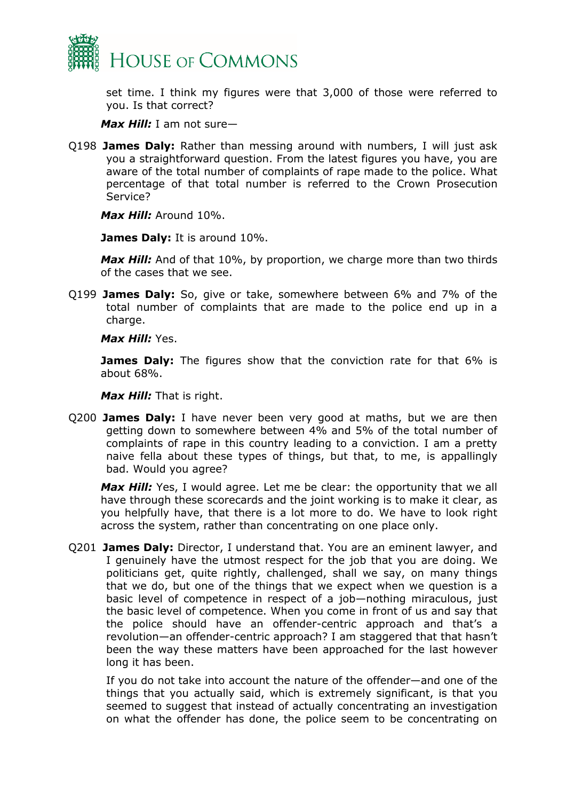

set time. I think my figures were that 3,000 of those were referred to you. Is that correct?

*Max Hill:* I am not sure—

Q198 **James Daly:** Rather than messing around with numbers, I will just ask you a straightforward question. From the latest figures you have, you are aware of the total number of complaints of rape made to the police. What percentage of that total number is referred to the Crown Prosecution Service?

*Max Hill:* Around 10%.

**James Daly:** It is around 10%.

Max Hill: And of that 10%, by proportion, we charge more than two thirds of the cases that we see.

Q199 **James Daly:** So, give or take, somewhere between 6% and 7% of the total number of complaints that are made to the police end up in a charge.

*Max Hill:* Yes.

**James Daly:** The figures show that the conviction rate for that 6% is about 68%.

*Max Hill:* That is right.

Q200 **James Daly:** I have never been very good at maths, but we are then getting down to somewhere between 4% and 5% of the total number of complaints of rape in this country leading to a conviction. I am a pretty naive fella about these types of things, but that, to me, is appallingly bad. Would you agree?

*Max Hill:* Yes, I would agree. Let me be clear: the opportunity that we all have through these scorecards and the joint working is to make it clear, as you helpfully have, that there is a lot more to do. We have to look right across the system, rather than concentrating on one place only.

Q201 **James Daly:** Director, I understand that. You are an eminent lawyer, and I genuinely have the utmost respect for the job that you are doing. We politicians get, quite rightly, challenged, shall we say, on many things that we do, but one of the things that we expect when we question is a basic level of competence in respect of a job—nothing miraculous, just the basic level of competence. When you come in front of us and say that the police should have an offender-centric approach and that's a revolution—an offender-centric approach? I am staggered that that hasn't been the way these matters have been approached for the last however long it has been.

If you do not take into account the nature of the offender—and one of the things that you actually said, which is extremely significant, is that you seemed to suggest that instead of actually concentrating an investigation on what the offender has done, the police seem to be concentrating on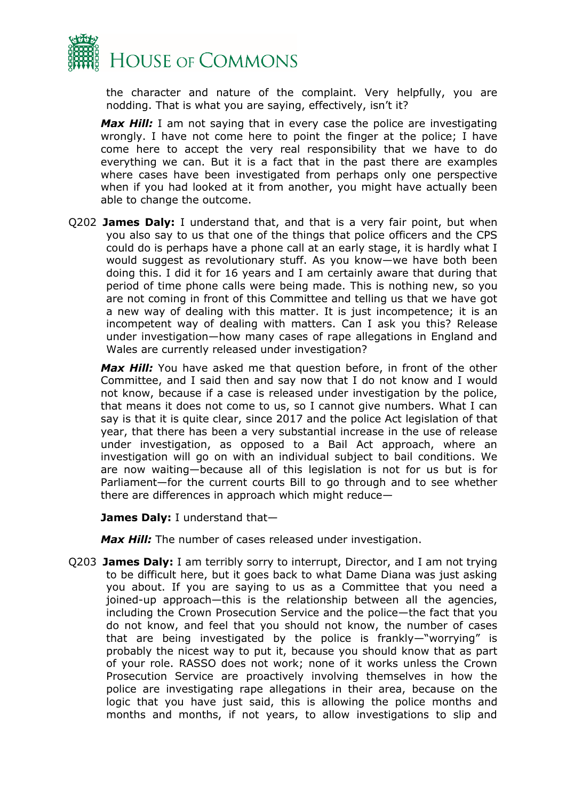

the character and nature of the complaint. Very helpfully, you are nodding. That is what you are saying, effectively, isn't it?

*Max Hill:* I am not saying that in every case the police are investigating wrongly. I have not come here to point the finger at the police; I have come here to accept the very real responsibility that we have to do everything we can. But it is a fact that in the past there are examples where cases have been investigated from perhaps only one perspective when if you had looked at it from another, you might have actually been able to change the outcome.

Q202 **James Daly:** I understand that, and that is a very fair point, but when you also say to us that one of the things that police officers and the CPS could do is perhaps have a phone call at an early stage, it is hardly what I would suggest as revolutionary stuff. As you know—we have both been doing this. I did it for 16 years and I am certainly aware that during that period of time phone calls were being made. This is nothing new, so you are not coming in front of this Committee and telling us that we have got a new way of dealing with this matter. It is just incompetence; it is an incompetent way of dealing with matters. Can I ask you this? Release under investigation—how many cases of rape allegations in England and Wales are currently released under investigation?

*Max Hill:* You have asked me that question before, in front of the other Committee, and I said then and say now that I do not know and I would not know, because if a case is released under investigation by the police, that means it does not come to us, so I cannot give numbers. What I can say is that it is quite clear, since 2017 and the police Act legislation of that year, that there has been a very substantial increase in the use of release under investigation, as opposed to a Bail Act approach, where an investigation will go on with an individual subject to bail conditions. We are now waiting—because all of this legislation is not for us but is for Parliament—for the current courts Bill to go through and to see whether there are differences in approach which might reduce—

**James Daly:** I understand that—

*Max Hill:* The number of cases released under investigation.

Q203 **James Daly:** I am terribly sorry to interrupt, Director, and I am not trying to be difficult here, but it goes back to what Dame Diana was just asking you about. If you are saying to us as a Committee that you need a joined-up approach—this is the relationship between all the agencies, including the Crown Prosecution Service and the police—the fact that you do not know, and feel that you should not know, the number of cases that are being investigated by the police is frankly—"worrying" is probably the nicest way to put it, because you should know that as part of your role. RASSO does not work; none of it works unless the Crown Prosecution Service are proactively involving themselves in how the police are investigating rape allegations in their area, because on the logic that you have just said, this is allowing the police months and months and months, if not years, to allow investigations to slip and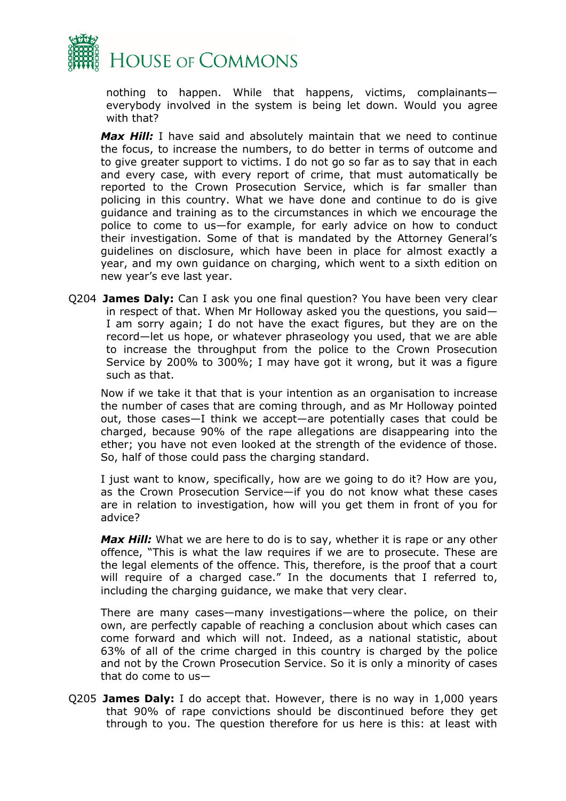

nothing to happen. While that happens, victims, complainants everybody involved in the system is being let down. Would you agree with that?

*Max Hill:* I have said and absolutely maintain that we need to continue the focus, to increase the numbers, to do better in terms of outcome and to give greater support to victims. I do not go so far as to say that in each and every case, with every report of crime, that must automatically be reported to the Crown Prosecution Service, which is far smaller than policing in this country. What we have done and continue to do is give guidance and training as to the circumstances in which we encourage the police to come to us—for example, for early advice on how to conduct their investigation. Some of that is mandated by the Attorney General's guidelines on disclosure, which have been in place for almost exactly a year, and my own guidance on charging, which went to a sixth edition on new year's eve last year.

Q204 **James Daly:** Can I ask you one final question? You have been very clear in respect of that. When Mr Holloway asked you the questions, you said— I am sorry again; I do not have the exact figures, but they are on the record—let us hope, or whatever phraseology you used, that we are able to increase the throughput from the police to the Crown Prosecution Service by 200% to 300%; I may have got it wrong, but it was a figure such as that.

Now if we take it that that is your intention as an organisation to increase the number of cases that are coming through, and as Mr Holloway pointed out, those cases—I think we accept—are potentially cases that could be charged, because 90% of the rape allegations are disappearing into the ether; you have not even looked at the strength of the evidence of those. So, half of those could pass the charging standard.

I just want to know, specifically, how are we going to do it? How are you, as the Crown Prosecution Service—if you do not know what these cases are in relation to investigation, how will you get them in front of you for advice?

*Max Hill:* What we are here to do is to say, whether it is rape or any other offence, "This is what the law requires if we are to prosecute. These are the legal elements of the offence. This, therefore, is the proof that a court will require of a charged case." In the documents that I referred to, including the charging guidance, we make that very clear.

There are many cases—many investigations—where the police, on their own, are perfectly capable of reaching a conclusion about which cases can come forward and which will not. Indeed, as a national statistic, about 63% of all of the crime charged in this country is charged by the police and not by the Crown Prosecution Service. So it is only a minority of cases that do come to us—

Q205 **James Daly:** I do accept that. However, there is no way in 1,000 years that 90% of rape convictions should be discontinued before they get through to you. The question therefore for us here is this: at least with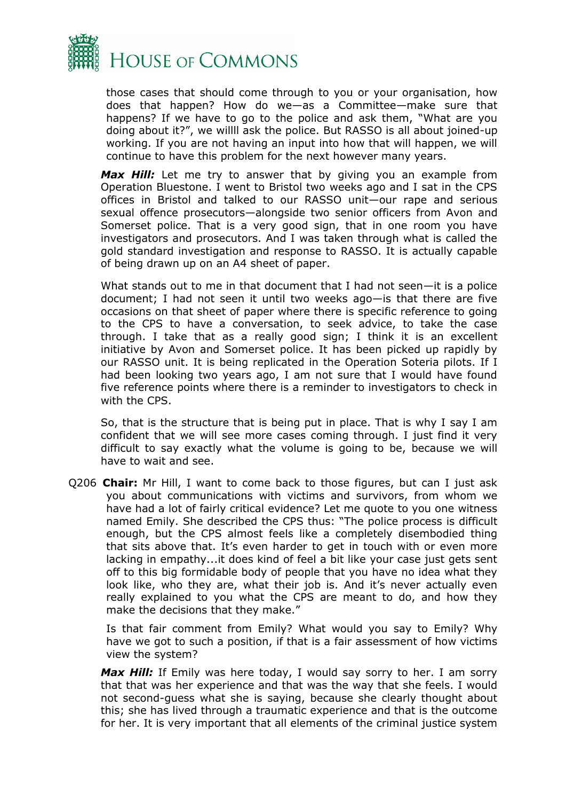

those cases that should come through to you or your organisation, how does that happen? How do we—as a Committee—make sure that happens? If we have to go to the police and ask them, "What are you doing about it?", we willll ask the police. But RASSO is all about joined-up working. If you are not having an input into how that will happen, we will continue to have this problem for the next however many years.

Max Hill: Let me try to answer that by giving you an example from Operation Bluestone. I went to Bristol two weeks ago and I sat in the CPS offices in Bristol and talked to our RASSO unit—our rape and serious sexual offence prosecutors—alongside two senior officers from Avon and Somerset police. That is a very good sign, that in one room you have investigators and prosecutors. And I was taken through what is called the gold standard investigation and response to RASSO. It is actually capable of being drawn up on an A4 sheet of paper.

What stands out to me in that document that I had not seen—it is a police document; I had not seen it until two weeks ago—is that there are five occasions on that sheet of paper where there is specific reference to going to the CPS to have a conversation, to seek advice, to take the case through. I take that as a really good sign; I think it is an excellent initiative by Avon and Somerset police. It has been picked up rapidly by our RASSO unit. It is being replicated in the Operation Soteria pilots. If I had been looking two years ago, I am not sure that I would have found five reference points where there is a reminder to investigators to check in with the CPS.

So, that is the structure that is being put in place. That is why I say I am confident that we will see more cases coming through. I just find it very difficult to say exactly what the volume is going to be, because we will have to wait and see.

Q206 **Chair:** Mr Hill, I want to come back to those figures, but can I just ask you about communications with victims and survivors, from whom we have had a lot of fairly critical evidence? Let me quote to you one witness named Emily. She described the CPS thus: "The police process is difficult enough, but the CPS almost feels like a completely disembodied thing that sits above that. It's even harder to get in touch with or even more lacking in empathy...it does kind of feel a bit like your case just gets sent off to this big formidable body of people that you have no idea what they look like, who they are, what their job is. And it's never actually even really explained to you what the CPS are meant to do, and how they make the decisions that they make."

Is that fair comment from Emily? What would you say to Emily? Why have we got to such a position, if that is a fair assessment of how victims view the system?

Max Hill: If Emily was here today, I would say sorry to her. I am sorry that that was her experience and that was the way that she feels. I would not second-guess what she is saying, because she clearly thought about this; she has lived through a traumatic experience and that is the outcome for her. It is very important that all elements of the criminal justice system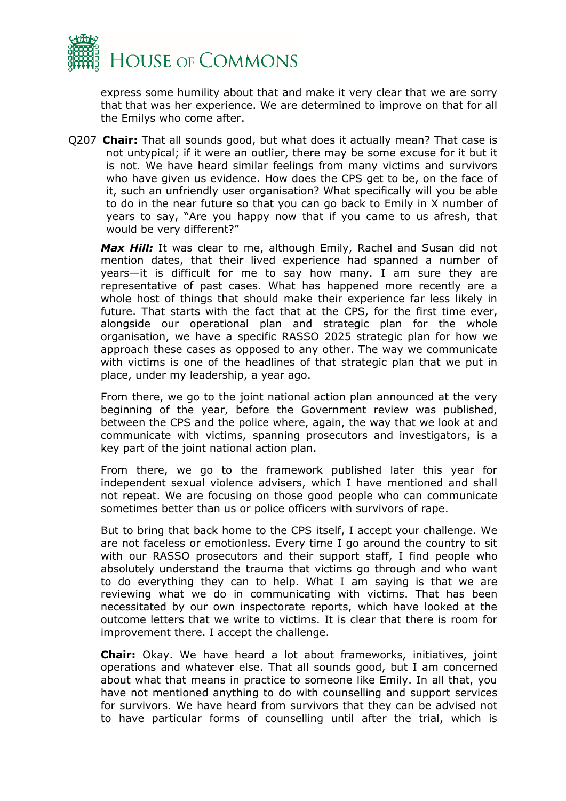

express some humility about that and make it very clear that we are sorry that that was her experience. We are determined to improve on that for all the Emilys who come after.

Q207 **Chair:** That all sounds good, but what does it actually mean? That case is not untypical; if it were an outlier, there may be some excuse for it but it is not. We have heard similar feelings from many victims and survivors who have given us evidence. How does the CPS get to be, on the face of it, such an unfriendly user organisation? What specifically will you be able to do in the near future so that you can go back to Emily in X number of years to say, "Are you happy now that if you came to us afresh, that would be very different?"

*Max Hill:* It was clear to me, although Emily, Rachel and Susan did not mention dates, that their lived experience had spanned a number of years—it is difficult for me to say how many. I am sure they are representative of past cases. What has happened more recently are a whole host of things that should make their experience far less likely in future. That starts with the fact that at the CPS, for the first time ever, alongside our operational plan and strategic plan for the whole organisation, we have a specific RASSO 2025 strategic plan for how we approach these cases as opposed to any other. The way we communicate with victims is one of the headlines of that strategic plan that we put in place, under my leadership, a year ago.

From there, we go to the joint national action plan announced at the very beginning of the year, before the Government review was published, between the CPS and the police where, again, the way that we look at and communicate with victims, spanning prosecutors and investigators, is a key part of the joint national action plan.

From there, we go to the framework published later this year for independent sexual violence advisers, which I have mentioned and shall not repeat. We are focusing on those good people who can communicate sometimes better than us or police officers with survivors of rape.

But to bring that back home to the CPS itself, I accept your challenge. We are not faceless or emotionless. Every time I go around the country to sit with our RASSO prosecutors and their support staff, I find people who absolutely understand the trauma that victims go through and who want to do everything they can to help. What I am saying is that we are reviewing what we do in communicating with victims. That has been necessitated by our own inspectorate reports, which have looked at the outcome letters that we write to victims. It is clear that there is room for improvement there. I accept the challenge.

**Chair:** Okay. We have heard a lot about frameworks, initiatives, joint operations and whatever else. That all sounds good, but I am concerned about what that means in practice to someone like Emily. In all that, you have not mentioned anything to do with counselling and support services for survivors. We have heard from survivors that they can be advised not to have particular forms of counselling until after the trial, which is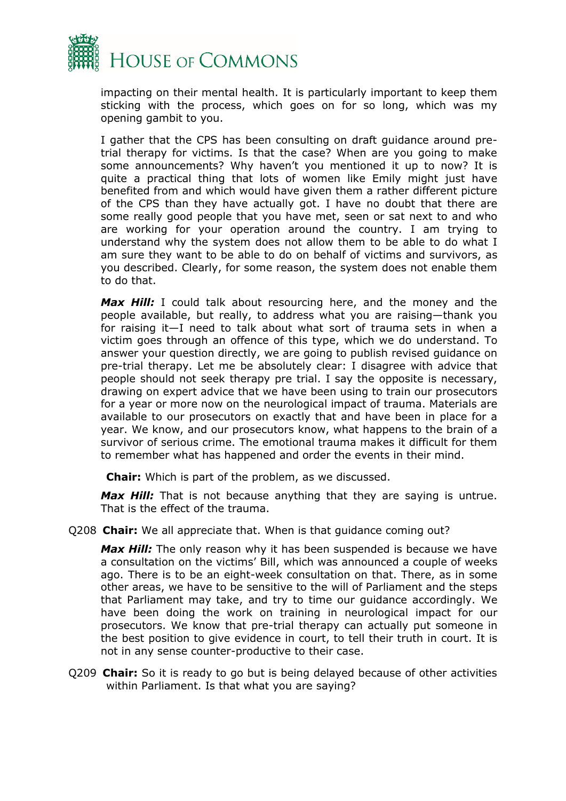

impacting on their mental health. It is particularly important to keep them sticking with the process, which goes on for so long, which was my opening gambit to you.

I gather that the CPS has been consulting on draft guidance around pretrial therapy for victims. Is that the case? When are you going to make some announcements? Why haven't you mentioned it up to now? It is quite a practical thing that lots of women like Emily might just have benefited from and which would have given them a rather different picture of the CPS than they have actually got. I have no doubt that there are some really good people that you have met, seen or sat next to and who are working for your operation around the country. I am trying to understand why the system does not allow them to be able to do what I am sure they want to be able to do on behalf of victims and survivors, as you described. Clearly, for some reason, the system does not enable them to do that.

Max Hill: I could talk about resourcing here, and the money and the people available, but really, to address what you are raising—thank you for raising it—I need to talk about what sort of trauma sets in when a victim goes through an offence of this type, which we do understand. To answer your question directly, we are going to publish revised guidance on pre-trial therapy. Let me be absolutely clear: I disagree with advice that people should not seek therapy pre trial. I say the opposite is necessary, drawing on expert advice that we have been using to train our prosecutors for a year or more now on the neurological impact of trauma. Materials are available to our prosecutors on exactly that and have been in place for a year. We know, and our prosecutors know, what happens to the brain of a survivor of serious crime. The emotional trauma makes it difficult for them to remember what has happened and order the events in their mind.

**Chair:** Which is part of the problem, as we discussed.

*Max Hill:* That is not because anything that they are saying is untrue. That is the effect of the trauma.

Q208 **Chair:** We all appreciate that. When is that guidance coming out?

Max Hill: The only reason why it has been suspended is because we have a consultation on the victims' Bill, which was announced a couple of weeks ago. There is to be an eight-week consultation on that. There, as in some other areas, we have to be sensitive to the will of Parliament and the steps that Parliament may take, and try to time our guidance accordingly. We have been doing the work on training in neurological impact for our prosecutors. We know that pre-trial therapy can actually put someone in the best position to give evidence in court, to tell their truth in court. It is not in any sense counter-productive to their case.

Q209 **Chair:** So it is ready to go but is being delayed because of other activities within Parliament. Is that what you are saying?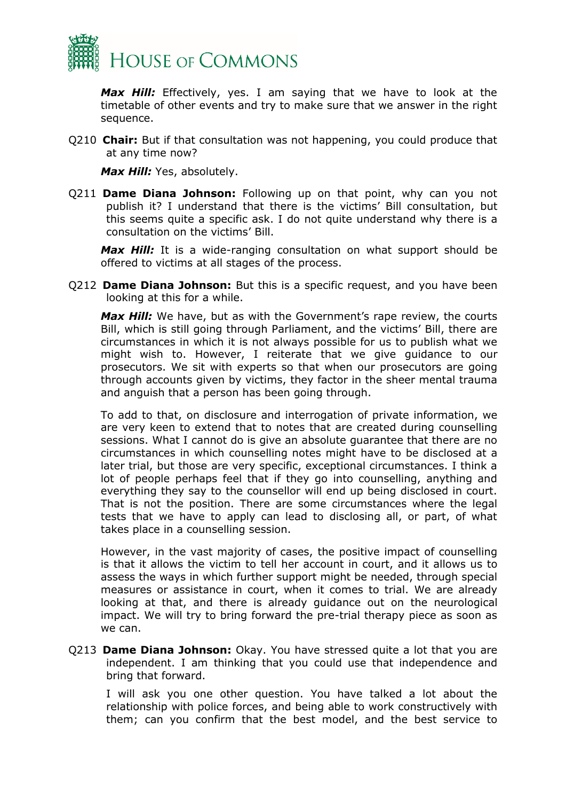

*Max Hill:* Effectively, yes. I am saying that we have to look at the timetable of other events and try to make sure that we answer in the right sequence.

Q210 **Chair:** But if that consultation was not happening, you could produce that at any time now?

*Max Hill:* Yes, absolutely.

Q211 **Dame Diana Johnson:** Following up on that point, why can you not publish it? I understand that there is the victims' Bill consultation, but this seems quite a specific ask. I do not quite understand why there is a consultation on the victims' Bill.

Max Hill: It is a wide-ranging consultation on what support should be offered to victims at all stages of the process.

Q212 **Dame Diana Johnson:** But this is a specific request, and you have been looking at this for a while.

*Max Hill:* We have, but as with the Government's rape review, the courts Bill, which is still going through Parliament, and the victims' Bill, there are circumstances in which it is not always possible for us to publish what we might wish to. However, I reiterate that we give guidance to our prosecutors. We sit with experts so that when our prosecutors are going through accounts given by victims, they factor in the sheer mental trauma and anguish that a person has been going through.

To add to that, on disclosure and interrogation of private information, we are very keen to extend that to notes that are created during counselling sessions. What I cannot do is give an absolute guarantee that there are no circumstances in which counselling notes might have to be disclosed at a later trial, but those are very specific, exceptional circumstances. I think a lot of people perhaps feel that if they go into counselling, anything and everything they say to the counsellor will end up being disclosed in court. That is not the position. There are some circumstances where the legal tests that we have to apply can lead to disclosing all, or part, of what takes place in a counselling session.

However, in the vast majority of cases, the positive impact of counselling is that it allows the victim to tell her account in court, and it allows us to assess the ways in which further support might be needed, through special measures or assistance in court, when it comes to trial. We are already looking at that, and there is already guidance out on the neurological impact. We will try to bring forward the pre-trial therapy piece as soon as we can.

Q213 **Dame Diana Johnson:** Okay. You have stressed quite a lot that you are independent. I am thinking that you could use that independence and bring that forward.

I will ask you one other question. You have talked a lot about the relationship with police forces, and being able to work constructively with them; can you confirm that the best model, and the best service to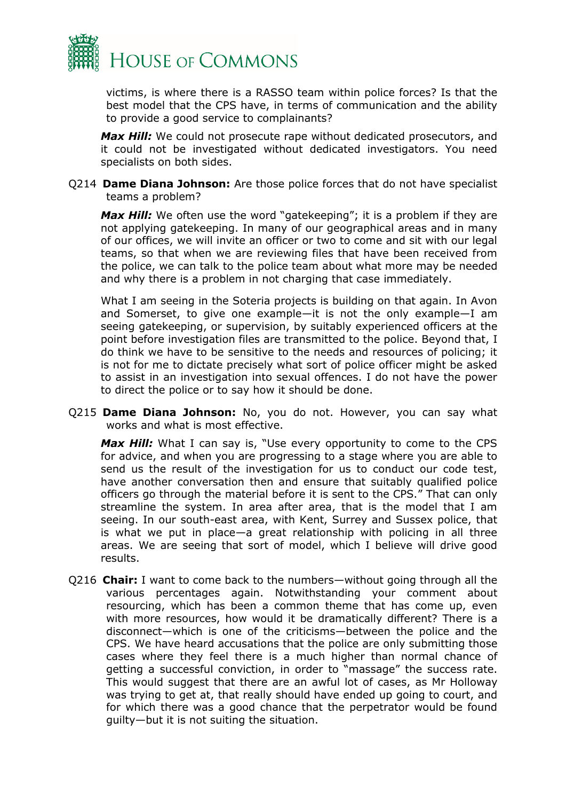

victims, is where there is a RASSO team within police forces? Is that the best model that the CPS have, in terms of communication and the ability to provide a good service to complainants?

*Max Hill:* We could not prosecute rape without dedicated prosecutors, and it could not be investigated without dedicated investigators. You need specialists on both sides.

Q214 **Dame Diana Johnson:** Are those police forces that do not have specialist teams a problem?

*Max Hill:* We often use the word "gatekeeping"; it is a problem if they are not applying gatekeeping. In many of our geographical areas and in many of our offices, we will invite an officer or two to come and sit with our legal teams, so that when we are reviewing files that have been received from the police, we can talk to the police team about what more may be needed and why there is a problem in not charging that case immediately.

What I am seeing in the Soteria projects is building on that again. In Avon and Somerset, to give one example—it is not the only example—I am seeing gatekeeping, or supervision, by suitably experienced officers at the point before investigation files are transmitted to the police. Beyond that, I do think we have to be sensitive to the needs and resources of policing; it is not for me to dictate precisely what sort of police officer might be asked to assist in an investigation into sexual offences. I do not have the power to direct the police or to say how it should be done.

Q215 **Dame Diana Johnson:** No, you do not. However, you can say what works and what is most effective.

Max Hill: What I can say is, "Use every opportunity to come to the CPS for advice, and when you are progressing to a stage where you are able to send us the result of the investigation for us to conduct our code test, have another conversation then and ensure that suitably qualified police officers go through the material before it is sent to the CPS." That can only streamline the system. In area after area, that is the model that I am seeing. In our south-east area, with Kent, Surrey and Sussex police, that is what we put in place—a great relationship with policing in all three areas. We are seeing that sort of model, which I believe will drive good results.

Q216 **Chair:** I want to come back to the numbers—without going through all the various percentages again. Notwithstanding your comment about resourcing, which has been a common theme that has come up, even with more resources, how would it be dramatically different? There is a disconnect—which is one of the criticisms—between the police and the CPS. We have heard accusations that the police are only submitting those cases where they feel there is a much higher than normal chance of getting a successful conviction, in order to "massage" the success rate. This would suggest that there are an awful lot of cases, as Mr Holloway was trying to get at, that really should have ended up going to court, and for which there was a good chance that the perpetrator would be found guilty—but it is not suiting the situation.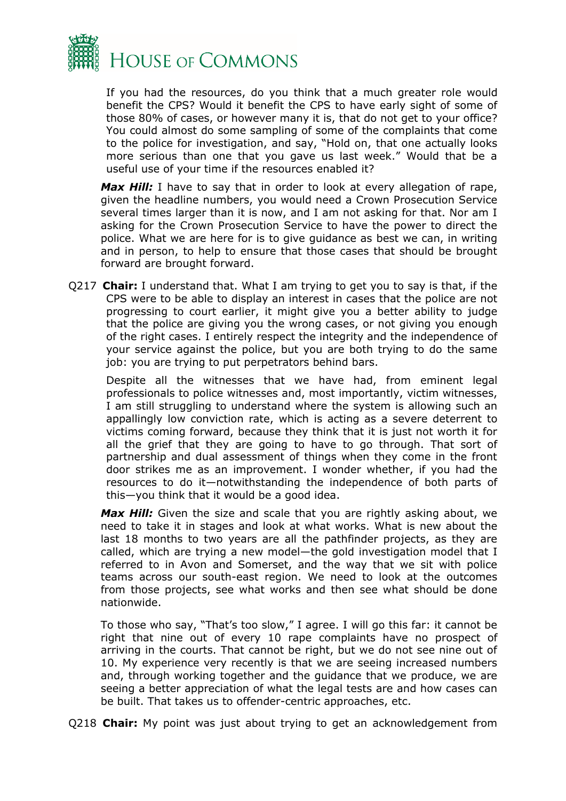

If you had the resources, do you think that a much greater role would benefit the CPS? Would it benefit the CPS to have early sight of some of those 80% of cases, or however many it is, that do not get to your office? You could almost do some sampling of some of the complaints that come to the police for investigation, and say, "Hold on, that one actually looks more serious than one that you gave us last week." Would that be a useful use of your time if the resources enabled it?

Max Hill: I have to say that in order to look at every allegation of rape, given the headline numbers, you would need a Crown Prosecution Service several times larger than it is now, and I am not asking for that. Nor am I asking for the Crown Prosecution Service to have the power to direct the police. What we are here for is to give guidance as best we can, in writing and in person, to help to ensure that those cases that should be brought forward are brought forward.

Q217 **Chair:** I understand that. What I am trying to get you to say is that, if the CPS were to be able to display an interest in cases that the police are not progressing to court earlier, it might give you a better ability to judge that the police are giving you the wrong cases, or not giving you enough of the right cases. I entirely respect the integrity and the independence of your service against the police, but you are both trying to do the same job: you are trying to put perpetrators behind bars.

Despite all the witnesses that we have had, from eminent legal professionals to police witnesses and, most importantly, victim witnesses, I am still struggling to understand where the system is allowing such an appallingly low conviction rate, which is acting as a severe deterrent to victims coming forward, because they think that it is just not worth it for all the grief that they are going to have to go through. That sort of partnership and dual assessment of things when they come in the front door strikes me as an improvement. I wonder whether, if you had the resources to do it—notwithstanding the independence of both parts of this—you think that it would be a good idea.

Max Hill: Given the size and scale that you are rightly asking about, we need to take it in stages and look at what works. What is new about the last 18 months to two years are all the pathfinder projects, as they are called, which are trying a new model—the gold investigation model that I referred to in Avon and Somerset, and the way that we sit with police teams across our south-east region. We need to look at the outcomes from those projects, see what works and then see what should be done nationwide.

To those who say, "That's too slow," I agree. I will go this far: it cannot be right that nine out of every 10 rape complaints have no prospect of arriving in the courts. That cannot be right, but we do not see nine out of 10. My experience very recently is that we are seeing increased numbers and, through working together and the guidance that we produce, we are seeing a better appreciation of what the legal tests are and how cases can be built. That takes us to offender-centric approaches, etc.

Q218 **Chair:** My point was just about trying to get an acknowledgement from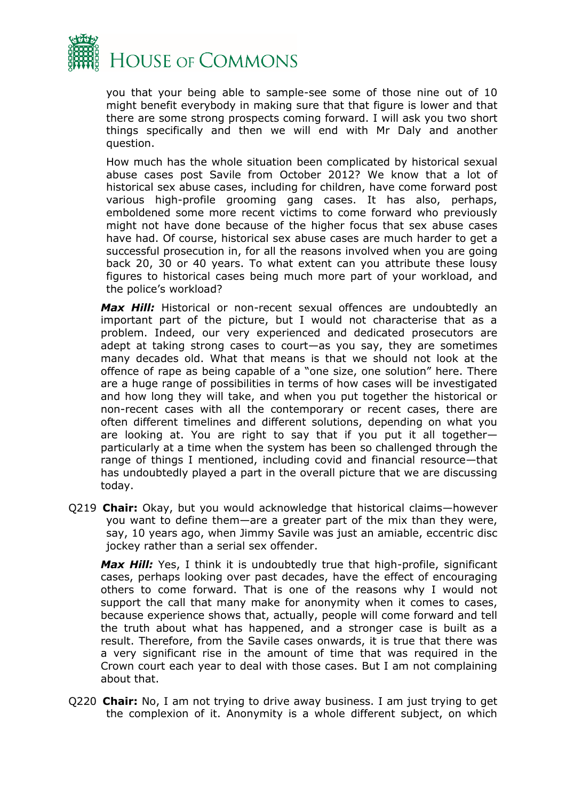

you that your being able to sample-see some of those nine out of 10 might benefit everybody in making sure that that figure is lower and that there are some strong prospects coming forward. I will ask you two short things specifically and then we will end with Mr Daly and another question.

How much has the whole situation been complicated by historical sexual abuse cases post Savile from October 2012? We know that a lot of historical sex abuse cases, including for children, have come forward post various high-profile grooming gang cases. It has also, perhaps, emboldened some more recent victims to come forward who previously might not have done because of the higher focus that sex abuse cases have had. Of course, historical sex abuse cases are much harder to get a successful prosecution in, for all the reasons involved when you are going back 20, 30 or 40 years. To what extent can you attribute these lousy figures to historical cases being much more part of your workload, and the police's workload?

Max Hill: Historical or non-recent sexual offences are undoubtedly an important part of the picture, but I would not characterise that as a problem. Indeed, our very experienced and dedicated prosecutors are adept at taking strong cases to court—as you say, they are sometimes many decades old. What that means is that we should not look at the offence of rape as being capable of a "one size, one solution" here. There are a huge range of possibilities in terms of how cases will be investigated and how long they will take, and when you put together the historical or non-recent cases with all the contemporary or recent cases, there are often different timelines and different solutions, depending on what you are looking at. You are right to say that if you put it all together particularly at a time when the system has been so challenged through the range of things I mentioned, including covid and financial resource—that has undoubtedly played a part in the overall picture that we are discussing today.

Q219 **Chair:** Okay, but you would acknowledge that historical claims—however you want to define them—are a greater part of the mix than they were, say, 10 years ago, when Jimmy Savile was just an amiable, eccentric disc jockey rather than a serial sex offender.

Max Hill: Yes, I think it is undoubtedly true that high-profile, significant cases, perhaps looking over past decades, have the effect of encouraging others to come forward. That is one of the reasons why I would not support the call that many make for anonymity when it comes to cases, because experience shows that, actually, people will come forward and tell the truth about what has happened, and a stronger case is built as a result. Therefore, from the Savile cases onwards, it is true that there was a very significant rise in the amount of time that was required in the Crown court each year to deal with those cases. But I am not complaining about that.

Q220 **Chair:** No, I am not trying to drive away business. I am just trying to get the complexion of it. Anonymity is a whole different subject, on which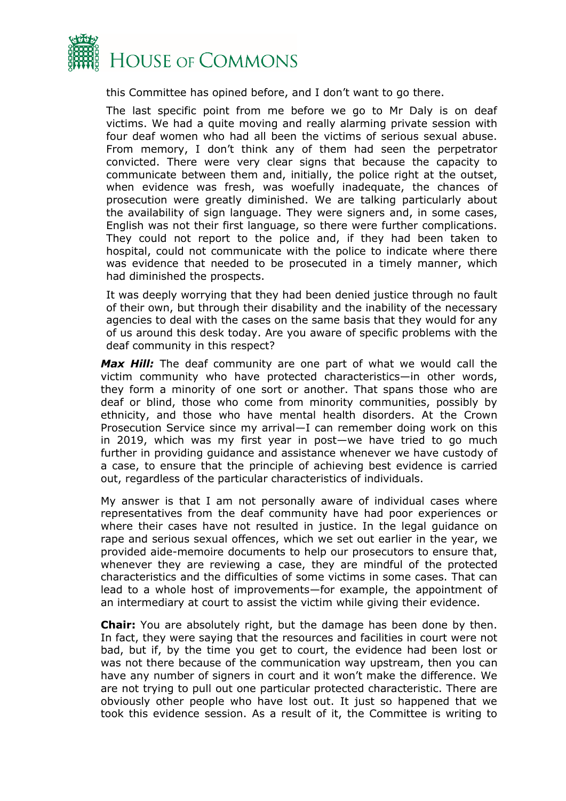

this Committee has opined before, and I don't want to go there.

The last specific point from me before we go to Mr Daly is on deaf victims. We had a quite moving and really alarming private session with four deaf women who had all been the victims of serious sexual abuse. From memory, I don't think any of them had seen the perpetrator convicted. There were very clear signs that because the capacity to communicate between them and, initially, the police right at the outset, when evidence was fresh, was woefully inadequate, the chances of prosecution were greatly diminished. We are talking particularly about the availability of sign language. They were signers and, in some cases, English was not their first language, so there were further complications. They could not report to the police and, if they had been taken to hospital, could not communicate with the police to indicate where there was evidence that needed to be prosecuted in a timely manner, which had diminished the prospects.

It was deeply worrying that they had been denied justice through no fault of their own, but through their disability and the inability of the necessary agencies to deal with the cases on the same basis that they would for any of us around this desk today. Are you aware of specific problems with the deaf community in this respect?

*Max Hill:* The deaf community are one part of what we would call the victim community who have protected characteristics—in other words, they form a minority of one sort or another. That spans those who are deaf or blind, those who come from minority communities, possibly by ethnicity, and those who have mental health disorders. At the Crown Prosecution Service since my arrival—I can remember doing work on this in 2019, which was my first year in post—we have tried to go much further in providing guidance and assistance whenever we have custody of a case, to ensure that the principle of achieving best evidence is carried out, regardless of the particular characteristics of individuals.

My answer is that I am not personally aware of individual cases where representatives from the deaf community have had poor experiences or where their cases have not resulted in justice. In the legal guidance on rape and serious sexual offences, which we set out earlier in the year, we provided aide-memoire documents to help our prosecutors to ensure that, whenever they are reviewing a case, they are mindful of the protected characteristics and the difficulties of some victims in some cases. That can lead to a whole host of improvements—for example, the appointment of an intermediary at court to assist the victim while giving their evidence.

**Chair:** You are absolutely right, but the damage has been done by then. In fact, they were saying that the resources and facilities in court were not bad, but if, by the time you get to court, the evidence had been lost or was not there because of the communication way upstream, then you can have any number of signers in court and it won't make the difference. We are not trying to pull out one particular protected characteristic. There are obviously other people who have lost out. It just so happened that we took this evidence session. As a result of it, the Committee is writing to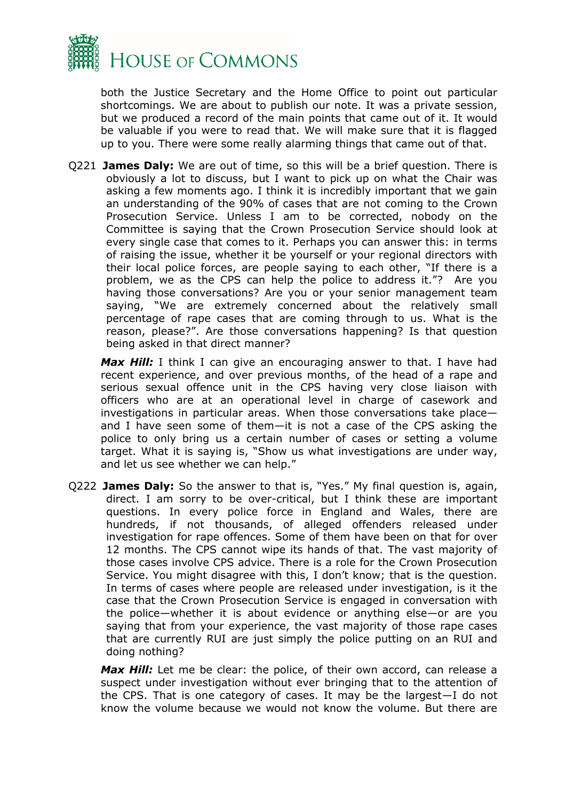

both the Justice Secretary and the Home Office to point out particular shortcomings. We are about to publish our note. It was a private session, but we produced a record of the main points that came out of it. It would be valuable if you were to read that. We will make sure that it is flagged up to you. There were some really alarming things that came out of that.

Q221 **James Daly:** We are out of time, so this will be a brief question. There is obviously a lot to discuss, but I want to pick up on what the Chair was asking a few moments ago. I think it is incredibly important that we gain an understanding of the 90% of cases that are not coming to the Crown Prosecution Service. Unless I am to be corrected, nobody on the Committee is saying that the Crown Prosecution Service should look at every single case that comes to it. Perhaps you can answer this: in terms of raising the issue, whether it be yourself or your regional directors with their local police forces, are people saying to each other, "If there is a problem, we as the CPS can help the police to address it."? Are you having those conversations? Are you or your senior management team saying, "We are extremely concerned about the relatively small percentage of rape cases that are coming through to us. What is the reason, please?". Are those conversations happening? Is that question being asked in that direct manner?

*Max Hill:* I think I can give an encouraging answer to that. I have had recent experience, and over previous months, of the head of a rape and serious sexual offence unit in the CPS having very close liaison with officers who are at an operational level in charge of casework and investigations in particular areas. When those conversations take place and I have seen some of them—it is not a case of the CPS asking the police to only bring us a certain number of cases or setting a volume target. What it is saying is, "Show us what investigations are under way, and let us see whether we can help."

Q222 **James Daly:** So the answer to that is, "Yes." My final question is, again, direct. I am sorry to be over-critical, but I think these are important questions. In every police force in England and Wales, there are hundreds, if not thousands, of alleged offenders released under investigation for rape offences. Some of them have been on that for over 12 months. The CPS cannot wipe its hands of that. The vast majority of those cases involve CPS advice. There is a role for the Crown Prosecution Service. You might disagree with this, I don't know; that is the question. In terms of cases where people are released under investigation, is it the case that the Crown Prosecution Service is engaged in conversation with the police—whether it is about evidence or anything else—or are you saying that from your experience, the vast majority of those rape cases that are currently RUI are just simply the police putting on an RUI and doing nothing?

Max Hill: Let me be clear: the police, of their own accord, can release a suspect under investigation without ever bringing that to the attention of the CPS. That is one category of cases. It may be the largest—I do not know the volume because we would not know the volume. But there are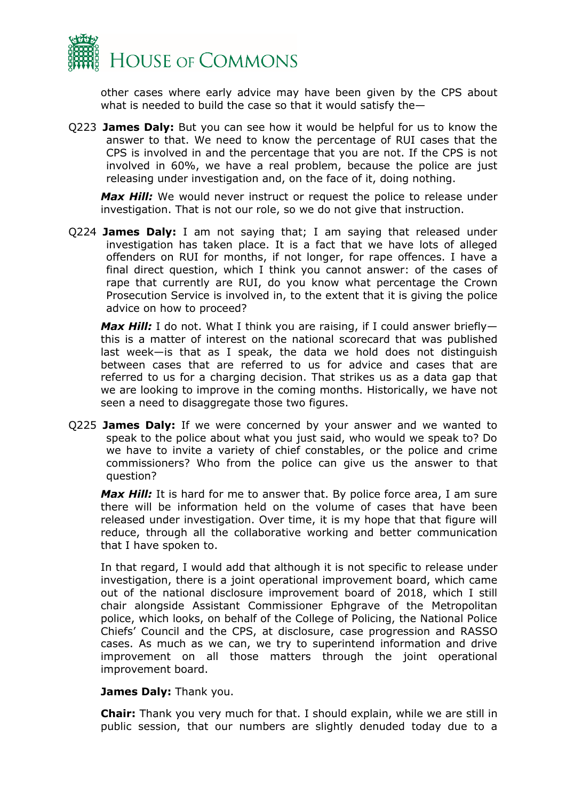

other cases where early advice may have been given by the CPS about what is needed to build the case so that it would satisfy the—

Q223 **James Daly:** But you can see how it would be helpful for us to know the answer to that. We need to know the percentage of RUI cases that the CPS is involved in and the percentage that you are not. If the CPS is not involved in 60%, we have a real problem, because the police are just releasing under investigation and, on the face of it, doing nothing.

*Max Hill:* We would never instruct or request the police to release under investigation. That is not our role, so we do not give that instruction.

Q224 **James Daly:** I am not saying that; I am saying that released under investigation has taken place. It is a fact that we have lots of alleged offenders on RUI for months, if not longer, for rape offences. I have a final direct question, which I think you cannot answer: of the cases of rape that currently are RUI, do you know what percentage the Crown Prosecution Service is involved in, to the extent that it is giving the police advice on how to proceed?

*Max Hill:* I do not. What I think you are raising, if I could answer brieflythis is a matter of interest on the national scorecard that was published last week—is that as I speak, the data we hold does not distinguish between cases that are referred to us for advice and cases that are referred to us for a charging decision. That strikes us as a data gap that we are looking to improve in the coming months. Historically, we have not seen a need to disaggregate those two figures.

Q225 **James Daly:** If we were concerned by your answer and we wanted to speak to the police about what you just said, who would we speak to? Do we have to invite a variety of chief constables, or the police and crime commissioners? Who from the police can give us the answer to that question?

*Max Hill:* It is hard for me to answer that. By police force area, I am sure there will be information held on the volume of cases that have been released under investigation. Over time, it is my hope that that figure will reduce, through all the collaborative working and better communication that I have spoken to.

In that regard, I would add that although it is not specific to release under investigation, there is a joint operational improvement board, which came out of the national disclosure improvement board of 2018, which I still chair alongside Assistant Commissioner Ephgrave of the Metropolitan police, which looks, on behalf of the College of Policing, the National Police Chiefs' Council and the CPS, at disclosure, case progression and RASSO cases. As much as we can, we try to superintend information and drive improvement on all those matters through the joint operational improvement board.

#### **James Daly:** Thank you.

**Chair:** Thank you very much for that. I should explain, while we are still in public session, that our numbers are slightly denuded today due to a